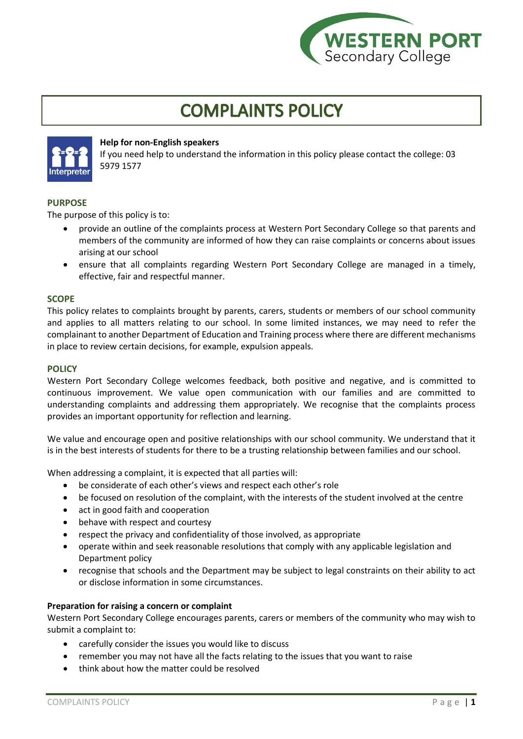

# **COMPLAINTS POLICY**



## **Help for non-English speakers**

If you need help to understand the information in this policy please contact the college: 03 5979 1577

## **PURPOSE**

The purpose of this policy is to:

- provide an outline of the complaints process at Western Port Secondary College so that parents and members of the community are informed of how they can raise complaints or concerns about issues arising at our school
- ensure that all complaints regarding Western Port Secondary College are managed in a timely, effective, fair and respectful manner.

## **SCOPE**

This policy relates to complaints brought by parents, carers, students or members of our school community and applies to all matters relating to our school. In some limited instances, we may need to refer the complainant to another Department of Education and Training process where there are different mechanisms in place to review certain decisions, for example, expulsion appeals.

## **POLICY**

Western Port Secondary College welcomes feedback, both positive and negative, and is committed to continuous improvement. We value open communication with our families and are committed to understanding complaints and addressing them appropriately. We recognise that the complaints process provides an important opportunity for reflection and learning.

We value and encourage open and positive relationships with our school community. We understand that it is in the best interests of students for there to be a trusting relationship between families and our school.

When addressing a complaint, it is expected that all parties will:

- be considerate of each other's views and respect each other's role
- be focused on resolution of the complaint, with the interests of the student involved at the centre
- act in good faith and cooperation
- behave with respect and courtesy
- respect the privacy and confidentiality of those involved, as appropriate
- operate within and seek reasonable resolutions that comply with any applicable legislation and Department policy
- recognise that schools and the Department may be subject to legal constraints on their ability to act or disclose information in some circumstances.

#### **Preparation for raising a concern or complaint**

Western Port Secondary College encourages parents, carers or members of the community who may wish to submit a complaint to:

- carefully consider the issues you would like to discuss
- remember you may not have all the facts relating to the issues that you want to raise
- think about how the matter could be resolved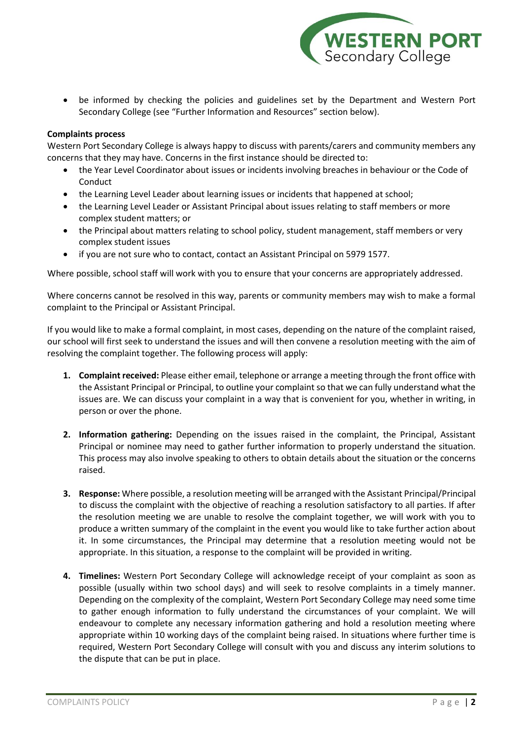

• be informed by checking the policies and guidelines set by the Department and Western Port Secondary College (see "Further Information and Resources" section below).

## **Complaints process**

Western Port Secondary College is always happy to discuss with parents/carers and community members any concerns that they may have. Concerns in the first instance should be directed to:

- the Year Level Coordinator about issues or incidents involving breaches in behaviour or the Code of **Conduct**
- the Learning Level Leader about learning issues or incidents that happened at school;
- the Learning Level Leader or Assistant Principal about issues relating to staff members or more complex student matters; or
- the Principal about matters relating to school policy, student management, staff members or very complex student issues
- if you are not sure who to contact, contact an Assistant Principal on 5979 1577.

Where possible, school staff will work with you to ensure that your concerns are appropriately addressed.

Where concerns cannot be resolved in this way, parents or community members may wish to make a formal complaint to the Principal or Assistant Principal.

If you would like to make a formal complaint, in most cases, depending on the nature of the complaint raised, our school will first seek to understand the issues and will then convene a resolution meeting with the aim of resolving the complaint together. The following process will apply:

- **1. Complaint received:** Please either email, telephone or arrange a meeting through the front office with the Assistant Principal or Principal, to outline your complaint so that we can fully understand what the issues are. We can discuss your complaint in a way that is convenient for you, whether in writing, in person or over the phone.
- **2. Information gathering:** Depending on the issues raised in the complaint, the Principal, Assistant Principal or nominee may need to gather further information to properly understand the situation. This process may also involve speaking to others to obtain details about the situation or the concerns raised.
- **3. Response:** Where possible, a resolution meeting will be arranged with the Assistant Principal/Principal to discuss the complaint with the objective of reaching a resolution satisfactory to all parties. If after the resolution meeting we are unable to resolve the complaint together, we will work with you to produce a written summary of the complaint in the event you would like to take further action about it. In some circumstances, the Principal may determine that a resolution meeting would not be appropriate. In this situation, a response to the complaint will be provided in writing.
- **4. Timelines:** Western Port Secondary College will acknowledge receipt of your complaint as soon as possible (usually within two school days) and will seek to resolve complaints in a timely manner. Depending on the complexity of the complaint, Western Port Secondary College may need some time to gather enough information to fully understand the circumstances of your complaint. We will endeavour to complete any necessary information gathering and hold a resolution meeting where appropriate within 10 working days of the complaint being raised. In situations where further time is required, Western Port Secondary College will consult with you and discuss any interim solutions to the dispute that can be put in place.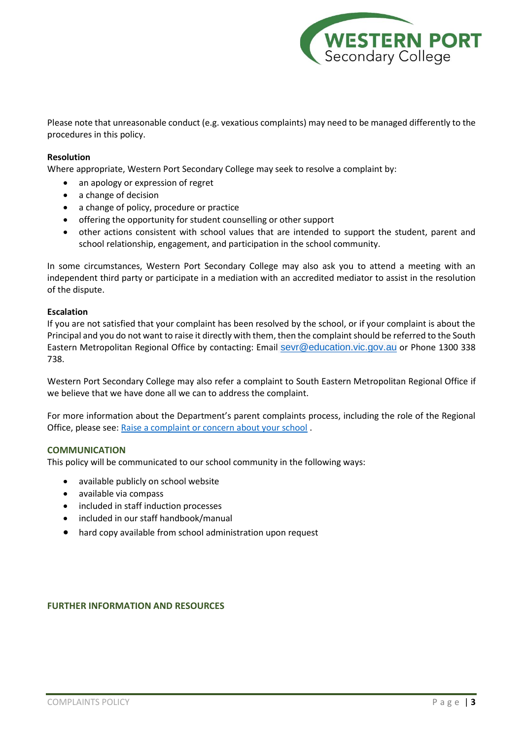

Please note that unreasonable conduct (e.g. vexatious complaints) may need to be managed differently to the procedures in this policy.

## **Resolution**

Where appropriate, Western Port Secondary College may seek to resolve a complaint by:

- an apology or expression of regret
- a change of decision
- a change of policy, procedure or practice
- offering the opportunity for student counselling or other support
- other actions consistent with school values that are intended to support the student, parent and school relationship, engagement, and participation in the school community.

In some circumstances, Western Port Secondary College may also ask you to attend a meeting with an independent third party or participate in a mediation with an accredited mediator to assist in the resolution of the dispute.

#### **Escalation**

If you are not satisfied that your complaint has been resolved by the school, or if your complaint is about the Principal and you do not want to raise it directly with them, then the complaint should be referred to the South Eastern Metropolitan Regional Office by contacting: Email [sevr@education.vic.gov.au](mailto:sevr@education.vic.gov.au) or Phone 1300 338 738.

Western Port Secondary College may also refer a complaint to South Eastern Metropolitan Regional Office if we believe that we have done all we can to address the complaint.

For more information about the Department's parent complaints process, including the role of the Regional Office, please see[: Raise a complaint or concern about your school](https://www.education.vic.gov.au/parents/going-to-school/Pages/school-complaints.aspx#policy) .

#### **COMMUNICATION**

This policy will be communicated to our school community in the following ways:

- available publicly on school website
- available via compass
- included in staff induction processes
- included in our staff handbook/manual
- hard copy available from school administration upon request

#### **FURTHER INFORMATION AND RESOURCES**